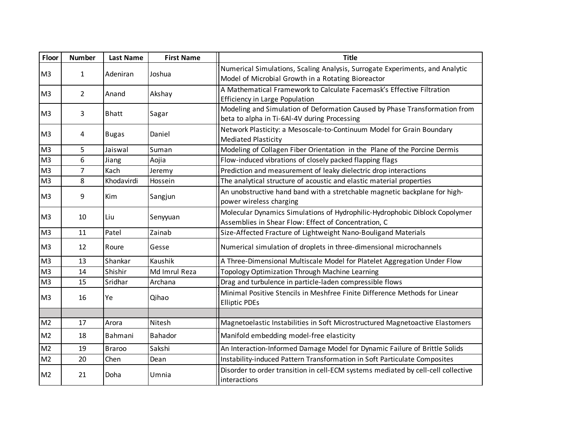| Floor          | <b>Number</b>  | <b>Last Name</b> | <b>First Name</b> | <b>Title</b>                                                                                                                        |
|----------------|----------------|------------------|-------------------|-------------------------------------------------------------------------------------------------------------------------------------|
| M <sub>3</sub> | $\mathbf{1}$   | Adeniran         | Joshua            | Numerical Simulations, Scaling Analysis, Surrogate Experiments, and Analytic<br>Model of Microbial Growth in a Rotating Bioreactor  |
| M <sub>3</sub> | $\overline{2}$ | Anand            | Akshay            | A Mathematical Framework to Calculate Facemask's Effective Filtration<br><b>Efficiency in Large Population</b>                      |
| M <sub>3</sub> | 3              | <b>Bhatt</b>     | Sagar             | Modeling and Simulation of Deformation Caused by Phase Transformation from<br>beta to alpha in Ti-6Al-4V during Processing          |
| M <sub>3</sub> | 4              | <b>Bugas</b>     | Daniel            | Network Plasticity: a Mesoscale-to-Continuum Model for Grain Boundary<br><b>Mediated Plasticity</b>                                 |
| M <sub>3</sub> | 5              | Jaiswal          | Suman             | Modeling of Collagen Fiber Orientation in the Plane of the Porcine Dermis                                                           |
| M <sub>3</sub> | 6              | Jiang            | Aojia             | Flow-induced vibrations of closely packed flapping flags                                                                            |
| M <sub>3</sub> | $\overline{7}$ | Kach             | Jeremy            | Prediction and measurement of leaky dielectric drop interactions                                                                    |
| M <sub>3</sub> | 8              | Khodavirdi       | Hossein           | The analytical structure of acoustic and elastic material properties                                                                |
| M <sub>3</sub> | 9              | Kim              | Sangjun           | An unobstructive hand band with a stretchable magnetic backplane for high-<br>power wireless charging                               |
| M <sub>3</sub> | 10             | Liu              | Senyyuan          | Molecular Dynamics Simulations of Hydrophilic-Hydrophobic Diblock Copolymer<br>Assemblies in Shear Flow: Effect of Concentration, C |
| M <sub>3</sub> | 11             | Patel            | Zainab            | Size-Affected Fracture of Lightweight Nano-Bouligand Materials                                                                      |
| M <sub>3</sub> | 12             | Roure            | Gesse             | Numerical simulation of droplets in three-dimensional microchannels                                                                 |
| M <sub>3</sub> | 13             | Shankar          | Kaushik           | A Three-Dimensional Multiscale Model for Platelet Aggregation Under Flow                                                            |
| M <sub>3</sub> | 14             | Shishir          | Md Imrul Reza     | Topology Optimization Through Machine Learning                                                                                      |
| M <sub>3</sub> | 15             | Sridhar          | Archana           | Drag and turbulence in particle-laden compressible flows                                                                            |
| M <sub>3</sub> | 16             | Ye               | Qihao             | Minimal Positive Stencils in Meshfree Finite Difference Methods for Linear<br><b>Elliptic PDEs</b>                                  |
|                |                |                  |                   |                                                                                                                                     |
| M <sub>2</sub> | 17             | Arora            | Nitesh            | Magnetoelastic Instabilities in Soft Microstructured Magnetoactive Elastomers                                                       |
| M <sub>2</sub> | 18             | Bahmani          | Bahador           | Manifold embedding model-free elasticity                                                                                            |
| M <sub>2</sub> | 19             | <b>Braroo</b>    | Sakshi            | An Interaction-Informed Damage Model for Dynamic Failure of Brittle Solids                                                          |
| M <sub>2</sub> | 20             | Chen             | Dean              | Instability-induced Pattern Transformation in Soft Particulate Composites                                                           |
| M <sub>2</sub> | 21             | Doha             | Umnia             | Disorder to order transition in cell-ECM systems mediated by cell-cell collective<br>interactions                                   |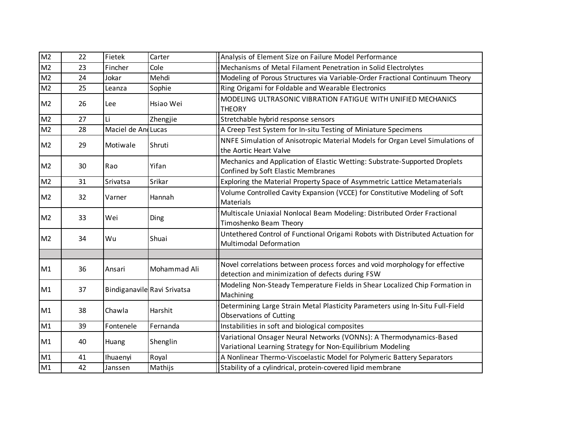| M <sub>2</sub>  | 22 | Fietek             | Carter                      | Analysis of Element Size on Failure Model Performance                                                                             |
|-----------------|----|--------------------|-----------------------------|-----------------------------------------------------------------------------------------------------------------------------------|
| $\overline{M2}$ | 23 | Fincher            | Cole                        | Mechanisms of Metal Filament Penetration in Solid Electrolytes                                                                    |
| M <sub>2</sub>  | 24 | Jokar              | Mehdi                       | Modeling of Porous Structures via Variable-Order Fractional Continuum Theory                                                      |
| M <sub>2</sub>  | 25 | Leanza             | Sophie                      | Ring Origami for Foldable and Wearable Electronics                                                                                |
| M <sub>2</sub>  | 26 | Lee                | Hsiao Wei                   | MODELING ULTRASONIC VIBRATION FATIGUE WITH UNIFIED MECHANICS<br><b>THEORY</b>                                                     |
| M <sub>2</sub>  | 27 | Li                 | Zhengjie                    | Stretchable hybrid response sensors                                                                                               |
| M <sub>2</sub>  | 28 | Maciel de AndLucas |                             | A Creep Test System for In-situ Testing of Miniature Specimens                                                                    |
| M <sub>2</sub>  | 29 | Motiwale           | Shruti                      | NNFE Simulation of Anisotropic Material Models for Organ Level Simulations of<br>the Aortic Heart Valve                           |
| M <sub>2</sub>  | 30 | Rao                | Yifan                       | Mechanics and Application of Elastic Wetting: Substrate-Supported Droplets<br>Confined by Soft Elastic Membranes                  |
| M <sub>2</sub>  | 31 | Srivatsa           | Srikar                      | Exploring the Material Property Space of Asymmetric Lattice Metamaterials                                                         |
| M <sub>2</sub>  | 32 | Varner             | Hannah                      | Volume Controlled Cavity Expansion (VCCE) for Constitutive Modeling of Soft<br>Materials                                          |
| M <sub>2</sub>  | 33 | Wei                | Ding                        | Multiscale Uniaxial Nonlocal Beam Modeling: Distributed Order Fractional<br>Timoshenko Beam Theory                                |
| M <sub>2</sub>  | 34 | Wu                 | Shuai                       | Untethered Control of Functional Origami Robots with Distributed Actuation for<br>Multimodal Deformation                          |
|                 |    |                    |                             |                                                                                                                                   |
| M1              | 36 | Ansari             | Mohammad Ali                | Novel correlations between process forces and void morphology for effective<br>detection and minimization of defects during FSW   |
| M1              | 37 |                    | Bindiganavile Ravi Srivatsa | Modeling Non-Steady Temperature Fields in Shear Localized Chip Formation in<br>Machining                                          |
| M1              | 38 | Chawla             | Harshit                     | Determining Large Strain Metal Plasticity Parameters using In-Situ Full-Field<br>Observations of Cutting                          |
| M1              | 39 | Fontenele          | Fernanda                    | Instabilities in soft and biological composites                                                                                   |
| M1              | 40 | Huang              | Shenglin                    | Variational Onsager Neural Networks (VONNs): A Thermodynamics-Based<br>Variational Learning Strategy for Non-Equilibrium Modeling |
| M1              | 41 | Ihuaenyi           | Royal                       | A Nonlinear Thermo-Viscoelastic Model for Polymeric Battery Separators                                                            |
| M1              | 42 | Janssen            | Mathijs                     | Stability of a cylindrical, protein-covered lipid membrane                                                                        |